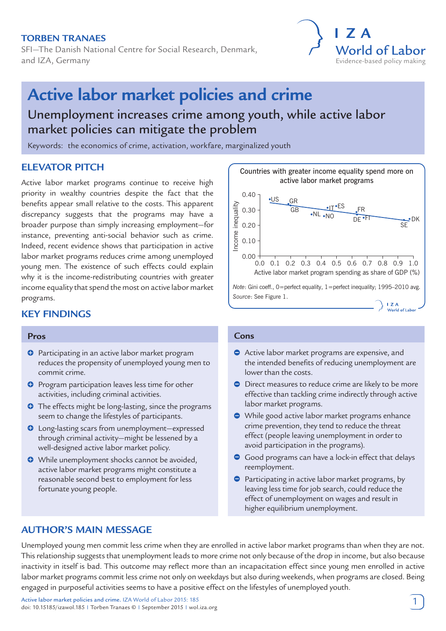# **Torben Tranaes**

SFI—The Danish National Centre for Social Research, Denmark, and IZA, Germany



# **Active labor market policies and crime**

# Unemployment increases crime among youth, while active labor market policies can mitigate the problem

Keywords: the economics of crime, activation, workfare, marginalized youth

# **ELEVATOR PITCH**

Active labor market programs continue to receive high priority in wealthy countries despite the fact that the benefits appear small relative to the costs. This apparent discrepancy suggests that the programs may have a broader purpose than simply increasing employment—for instance, preventing anti-social behavior such as crime. Indeed, recent evidence shows that participation in active labor market programs reduces crime among unemployed young men. The existence of such effects could explain why it is the income-redistributing countries with greater income equality that spend the most on active labor market programs.

# **KEY FINDINGS**

### **Pros**

- **O** Participating in an active labor market program reduces the propensity of unemployed young men to commit crime.
- **O** Program participation leaves less time for other activities, including criminal activities.
- **O** The effects might be long-lasting, since the programs seem to change the lifestyles of participants.
- **O** Long-lasting scars from unemployment—expressed through criminal activity—might be lessened by a well-designed active labor market policy.
- **O** While unemployment shocks cannot be avoided, active labor market programs might constitute a reasonable second best to employment for less fortunate young people.



# **Cons**

- Active labor market programs are expensive, and the intended benefits of reducing unemployment are lower than the costs.
- Direct measures to reduce crime are likely to be more effective than tackling crime indirectly through active labor market programs.
- While good active labor market programs enhance crime prevention, they tend to reduce the threat effect (people leaving unemployment in order to avoid participation in the programs).
- Good programs can have a lock-in effect that delays reemployment.
- **Participating in active labor market programs, by** leaving less time for job search, could reduce the effect of unemployment on wages and result in higher equilibrium unemployment.

# **AUTHOR'S MAIN MESSAGE**

Unemployed young men commit less crime when they are enrolled in active labor market programs than when they are not. This relationship suggests that unemployment leads to more crime not only because of the drop in income, but also because inactivity in itself is bad. This outcome may reflect more than an incapacitation effect since young men enrolled in active labor market programs commit less crime not only on weekdays but also during weekends, when programs are closed. Being engaged in purposeful activities seems to have a positive effect on the lifestyles of unemployed youth.

Active labor market policies and crime. IZA World of Labor 2015: 185 doi: 10.15185/izawol.185 | Torben Tranaes © | September 2015 | wol.iza.org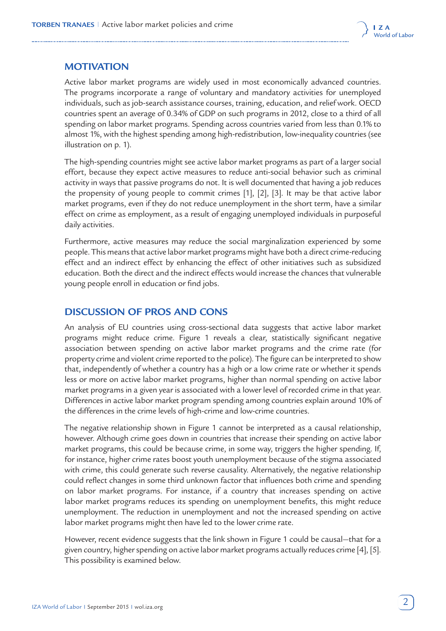

# **MOTIVATION**

Active labor market programs are widely used in most economically advanced countries. The programs incorporate a range of voluntary and mandatory activities for unemployed individuals, such as job-search assistance courses, training, education, and relief work. OECD countries spent an average of 0.34% of GDP on such programs in 2012, close to a third of all spending on labor market programs. Spending across countries varied from less than 0.1% to almost 1%, with the highest spending among high-redistribution, low-inequality countries (see illustration on p. 1).

The high-spending countries might see active labor market programs as part of a larger social effort, because they expect active measures to reduce anti-social behavior such as criminal activity in ways that passive programs do not. It is well documented that having a job reduces the propensity of young people to commit crimes [1], [2], [3]. It may be that active labor market programs, even if they do not reduce unemployment in the short term, have a similar effect on crime as employment, as a result of engaging unemployed individuals in purposeful daily activities.

Furthermore, active measures may reduce the social marginalization experienced by some people. This means that active labor market programs might have both a direct crime-reducing effect and an indirect effect by enhancing the effect of other initiatives such as subsidized education. Both the direct and the indirect effects would increase the chances that vulnerable young people enroll in education or find jobs.

# **DISCUSSION OF PROS AND CONS**

An analysis of EU countries using cross-sectional data suggests that active labor market programs might reduce crime. Figure 1 reveals a clear, statistically significant negative association between spending on active labor market programs and the crime rate (for property crime and violent crime reported to the police). The figure can be interpreted to show that, independently of whether a country has a high or a low crime rate or whether it spends less or more on active labor market programs, higher than normal spending on active labor market programs in a given year is associated with a lower level of recorded crime in that year. Differences in active labor market program spending among countries explain around 10% of the differences in the crime levels of high-crime and low-crime countries.

The negative relationship shown in Figure 1 cannot be interpreted as a causal relationship, however. Although crime goes down in countries that increase their spending on active labor market programs, this could be because crime, in some way, triggers the higher spending. If, for instance, higher crime rates boost youth unemployment because of the stigma associated with crime, this could generate such reverse causality. Alternatively, the negative relationship could reflect changes in some third unknown factor that influences both crime and spending on labor market programs. For instance, if a country that increases spending on active labor market programs reduces its spending on unemployment benefits, this might reduce unemployment. The reduction in unemployment and not the increased spending on active labor market programs might then have led to the lower crime rate.

However, recent evidence suggests that the link shown in Figure 1 could be causal—that for a given country, higher spending on active labor market programs actually reduces crime [4], [5]. This possibility is examined below.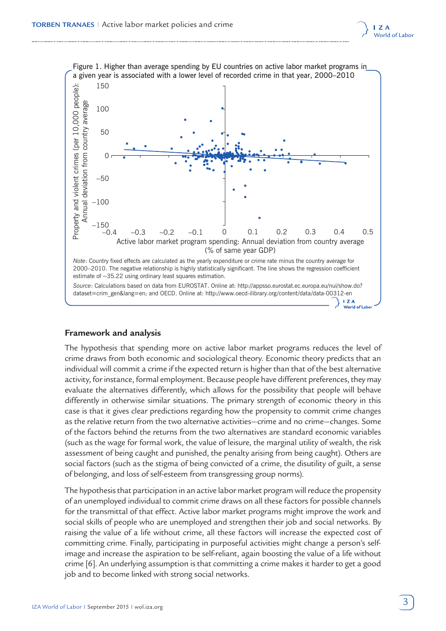



### **Framework and analysis**

The hypothesis that spending more on active labor market programs reduces the level of crime draws from both economic and sociological theory. Economic theory predicts that an individual will commit a crime if the expected return is higher than that of the best alternative activity, for instance, formal employment. Because people have different preferences, they may evaluate the alternatives differently, which allows for the possibility that people will behave differently in otherwise similar situations. The primary strength of economic theory in this case is that it gives clear predictions regarding how the propensity to commit crime changes as the relative return from the two alternative activities—crime and no crime—changes. Some of the factors behind the returns from the two alternatives are standard economic variables (such as the wage for formal work, the value of leisure, the marginal utility of wealth, the risk assessment of being caught and punished, the penalty arising from being caught). Others are social factors (such as the stigma of being convicted of a crime, the disutility of guilt, a sense of belonging, and loss of self-esteem from transgressing group norms).

The hypothesis that participation in an active labor market program will reduce the propensity of an unemployed individual to commit crime draws on all these factors for possible channels for the transmittal of that effect. Active labor market programs might improve the work and social skills of people who are unemployed and strengthen their job and social networks. By raising the value of a life without crime, all these factors will increase the expected cost of committing crime. Finally, participating in purposeful activities might change a person's selfimage and increase the aspiration to be self-reliant, again boosting the value of a life without crime [6]. An underlying assumption is that committing a crime makes it harder to get a good job and to become linked with strong social networks.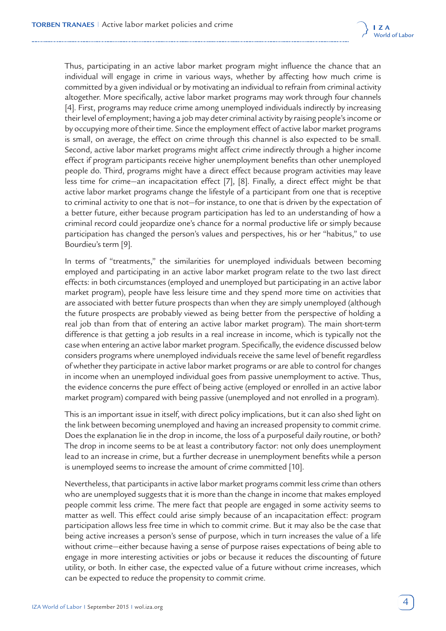

Thus, participating in an active labor market program might influence the chance that an individual will engage in crime in various ways, whether by affecting how much crime is committed by a given individual or by motivating an individual to refrain from criminal activity altogether. More specifically, active labor market programs may work through four channels [4]. First, programs may reduce crime among unemployed individuals indirectly by increasing their level of employment; having a job may deter criminal activity by raising people's income or by occupying more of their time. Since the employment effect of active labor market programs is small, on average, the effect on crime through this channel is also expected to be small. Second, active labor market programs might affect crime indirectly through a higher income effect if program participants receive higher unemployment benefits than other unemployed people do. Third, programs might have a direct effect because program activities may leave less time for crime—an incapacitation effect [7], [8]. Finally, a direct effect might be that active labor market programs change the lifestyle of a participant from one that is receptive to criminal activity to one that is not—for instance, to one that is driven by the expectation of a better future, either because program participation has led to an understanding of how a criminal record could jeopardize one's chance for a normal productive life or simply because participation has changed the person's values and perspectives, his or her "habitus," to use Bourdieu's term [9].

In terms of "treatments," the similarities for unemployed individuals between becoming employed and participating in an active labor market program relate to the two last direct effects: in both circumstances (employed and unemployed but participating in an active labor market program), people have less leisure time and they spend more time on activities that are associated with better future prospects than when they are simply unemployed (although the future prospects are probably viewed as being better from the perspective of holding a real job than from that of entering an active labor market program). The main short-term difference is that getting a job results in a real increase in income, which is typically not the case when entering an active labor market program. Specifically, the evidence discussed below considers programs where unemployed individuals receive the same level of benefit regardless of whether they participate in active labor market programs or are able to control for changes in income when an unemployed individual goes from passive unemployment to active. Thus, the evidence concerns the pure effect of being active (employed or enrolled in an active labor market program) compared with being passive (unemployed and not enrolled in a program).

This is an important issue in itself, with direct policy implications, but it can also shed light on the link between becoming unemployed and having an increased propensity to commit crime. Does the explanation lie in the drop in income, the loss of a purposeful daily routine, or both? The drop in income seems to be at least a contributory factor: not only does unemployment lead to an increase in crime, but a further decrease in unemployment benefits while a person is unemployed seems to increase the amount of crime committed [10].

Nevertheless, that participants in active labor market programs commit less crime than others who are unemployed suggests that it is more than the change in income that makes employed people commit less crime. The mere fact that people are engaged in some activity seems to matter as well. This effect could arise simply because of an incapacitation effect: program participation allows less free time in which to commit crime. But it may also be the case that being active increases a person's sense of purpose, which in turn increases the value of a life without crime—either because having a sense of purpose raises expectations of being able to engage in more interesting activities or jobs or because it reduces the discounting of future utility, or both. In either case, the expected value of a future without crime increases, which can be expected to reduce the propensity to commit crime.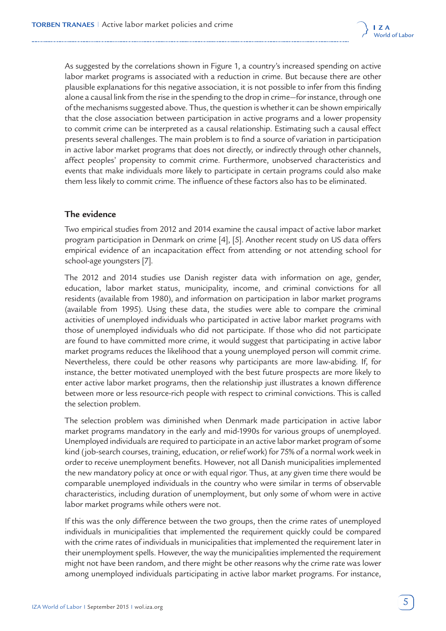

As suggested by the correlations shown in Figure 1, a country's increased spending on active labor market programs is associated with a reduction in crime. But because there are other plausible explanations for this negative association, it is not possible to infer from this finding alone a causal link from the rise in the spending to the drop in crime—for instance, through one of the mechanisms suggested above. Thus, the question is whether it can be shown empirically that the close association between participation in active programs and a lower propensity to commit crime can be interpreted as a causal relationship. Estimating such a causal effect presents several challenges. The main problem is to find a source of variation in participation in active labor market programs that does not directly, or indirectly through other channels, affect peoples' propensity to commit crime. Furthermore, unobserved characteristics and events that make individuals more likely to participate in certain programs could also make them less likely to commit crime. The influence of these factors also has to be eliminated.

# **The evidence**

Two empirical studies from 2012 and 2014 examine the causal impact of active labor market program participation in Denmark on crime [4], [5]. Another recent study on US data offers empirical evidence of an incapacitation effect from attending or not attending school for school-age youngsters [7].

The 2012 and 2014 studies use Danish register data with information on age, gender, education, labor market status, municipality, income, and criminal convictions for all residents (available from 1980), and information on participation in labor market programs (available from 1995). Using these data, the studies were able to compare the criminal activities of unemployed individuals who participated in active labor market programs with those of unemployed individuals who did not participate. If those who did not participate are found to have committed more crime, it would suggest that participating in active labor market programs reduces the likelihood that a young unemployed person will commit crime. Nevertheless, there could be other reasons why participants are more law-abiding. If, for instance, the better motivated unemployed with the best future prospects are more likely to enter active labor market programs, then the relationship just illustrates a known difference between more or less resource-rich people with respect to criminal convictions. This is called the selection problem.

The selection problem was diminished when Denmark made participation in active labor market programs mandatory in the early and mid-1990s for various groups of unemployed. Unemployed individuals are required to participate in an active labor market program of some kind (job-search courses, training, education, or relief work) for 75% of a normal work week in order to receive unemployment benefits. However, not all Danish municipalities implemented the new mandatory policy at once or with equal rigor. Thus, at any given time there would be comparable unemployed individuals in the country who were similar in terms of observable characteristics, including duration of unemployment, but only some of whom were in active labor market programs while others were not.

If this was the only difference between the two groups, then the crime rates of unemployed individuals in municipalities that implemented the requirement quickly could be compared with the crime rates of individuals in municipalities that implemented the requirement later in their unemployment spells. However, the way the municipalities implemented the requirement might not have been random, and there might be other reasons why the crime rate was lower among unemployed individuals participating in active labor market programs. For instance,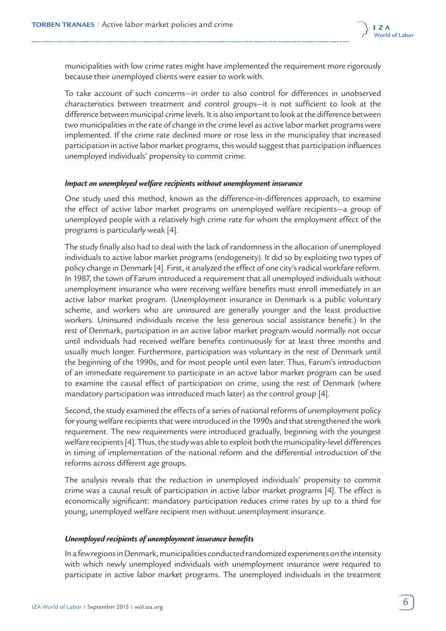

municipalities with low crime rates might have implemented the requirement more rigorously because their unemployed clients were easier to work with.

To take account of such concerns—in order to also control for differences in unobserved characteristics between treatment and control groups—it is not sufficient to look at the difference between municipal crime levels. It is also important to look at the difference between two municipalities in the rate of change in the crime level as active labor market programs were implemented. If the crime rate declined more or rose less in the municipality that increased participation in active labor market programs, this would suggest that participation influences unemployed individuals' propensity to commit crime.

#### *Impact on unemployed welfare recipients without unemployment insurance*

One study used this method, known as the difference-in-differences approach, to examine the effect of active labor market programs on unemployed welfare recipients—a group of unemployed people with a relatively high crime rate for whom the employment effect of the programs is particularly weak [4].

The study finally also had to deal with the lack of randomness in the allocation of unemployed individuals to active labor market programs (endogeneity). It did so by exploiting two types of policy change in Denmark [4]. First, it analyzed the effect of one city's radical workfare reform. In 1987, the town of Farum introduced a requirement that all unemployed individuals without unemployment insurance who were receiving welfare benefits must enroll immediately in an active labor market program. (Unemployment insurance in Denmark is a public voluntary scheme, and workers who are uninsured are generally younger and the least productive workers. Uninsured individuals receive the less generous social assistance benefit.) In the rest of Denmark, participation in an active labor market program would normally not occur until individuals had received welfare benefits continuously for at least three months and usually much longer. Furthermore, participation was voluntary in the rest of Denmark until the beginning of the 1990s, and for most people until even later. Thus, Farum's introduction of an immediate requirement to participate in an active labor market program can be used to examine the causal effect of participation on crime, using the rest of Denmark (where mandatory participation was introduced much later) as the control group [4].

Second, the study examined the effects of a series of national reforms of unemployment policy for young welfare recipients that were introduced in the 1990s and that strengthened the work requirement. The new requirements were introduced gradually, beginning with the youngest welfare recipients [4]. Thus, the study was able to exploit both the municipality-level differences in timing of implementation of the national reform and the differential introduction of the reforms across different age groups.

The analysis reveals that the reduction in unemployed individuals' propensity to commit crime was a causal result of participation in active labor market programs [4]. The effect is economically significant: mandatory participation reduces crime rates by up to a third for young, unemployed welfare recipient men without unemployment insurance.

#### *Unemployed recipients of unemployment insurance benefits*

In a few regions in Denmark, municipalities conducted randomized experiments on the intensity with which newly unemployed individuals with unemployment insurance were required to participate in active labor market programs. The unemployed individuals in the treatment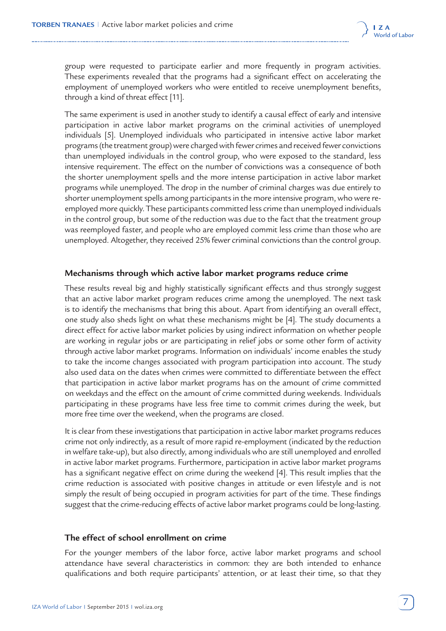

group were requested to participate earlier and more frequently in program activities. These experiments revealed that the programs had a significant effect on accelerating the employment of unemployed workers who were entitled to receive unemployment benefits, through a kind of threat effect [11].

The same experiment is used in another study to identify a causal effect of early and intensive participation in active labor market programs on the criminal activities of unemployed individuals [5]. Unemployed individuals who participated in intensive active labor market programs (the treatment group) were charged with fewer crimes and received fewer convictions than unemployed individuals in the control group, who were exposed to the standard, less intensive requirement. The effect on the number of convictions was a consequence of both the shorter unemployment spells and the more intense participation in active labor market programs while unemployed. The drop in the number of criminal charges was due entirely to shorter unemployment spells among participants in the more intensive program, who were reemployed more quickly. These participants committed less crime than unemployed individuals in the control group, but some of the reduction was due to the fact that the treatment group was reemployed faster, and people who are employed commit less crime than those who are unemployed. Altogether, they received 25% fewer criminal convictions than the control group.

### **Mechanisms through which active labor market programs reduce crime**

These results reveal big and highly statistically significant effects and thus strongly suggest that an active labor market program reduces crime among the unemployed. The next task is to identify the mechanisms that bring this about. Apart from identifying an overall effect, one study also sheds light on what these mechanisms might be [4]. The study documents a direct effect for active labor market policies by using indirect information on whether people are working in regular jobs or are participating in relief jobs or some other form of activity through active labor market programs. Information on individuals' income enables the study to take the income changes associated with program participation into account. The study also used data on the dates when crimes were committed to differentiate between the effect that participation in active labor market programs has on the amount of crime committed on weekdays and the effect on the amount of crime committed during weekends. Individuals participating in these programs have less free time to commit crimes during the week, but more free time over the weekend, when the programs are closed.

It is clear from these investigations that participation in active labor market programs reduces crime not only indirectly, as a result of more rapid re-employment (indicated by the reduction in welfare take-up), but also directly, among individuals who are still unemployed and enrolled in active labor market programs. Furthermore, participation in active labor market programs has a significant negative effect on crime during the weekend [4]. This result implies that the crime reduction is associated with positive changes in attitude or even lifestyle and is not simply the result of being occupied in program activities for part of the time. These findings suggest that the crime-reducing effects of active labor market programs could be long-lasting.

### **The effect of school enrollment on crime**

For the younger members of the labor force, active labor market programs and school attendance have several characteristics in common: they are both intended to enhance qualifications and both require participants' attention, or at least their time, so that they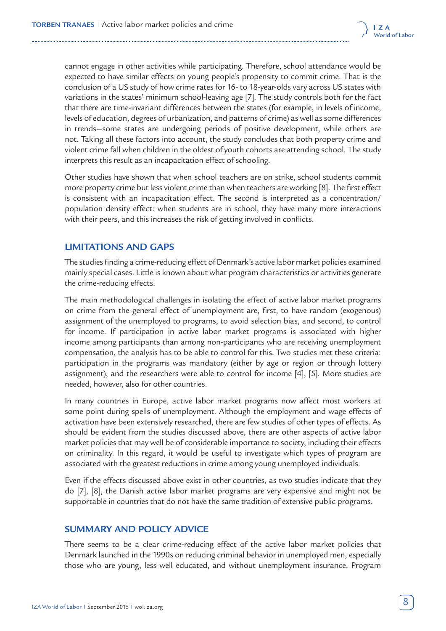

cannot engage in other activities while participating. Therefore, school attendance would be expected to have similar effects on young people's propensity to commit crime. That is the conclusion of a US study of how crime rates for 16- to 18-year-olds vary across US states with variations in the states' minimum school-leaving age [7]. The study controls both for the fact that there are time-invariant differences between the states (for example, in levels of income, levels of education, degrees of urbanization, and patterns of crime) as well as some differences in trends—some states are undergoing periods of positive development, while others are not. Taking all these factors into account, the study concludes that both property crime and violent crime fall when children in the oldest of youth cohorts are attending school. The study interprets this result as an incapacitation effect of schooling.

Other studies have shown that when school teachers are on strike, school students commit more property crime but less violent crime than when teachers are working [8]. The first effect is consistent with an incapacitation effect. The second is interpreted as a concentration/ population density effect: when students are in school, they have many more interactions with their peers, and this increases the risk of getting involved in conflicts.

# **LIMITATIONS AND GAPS**

The studies finding a crime-reducing effect of Denmark's active labor market policies examined mainly special cases. Little is known about what program characteristics or activities generate the crime-reducing effects.

The main methodological challenges in isolating the effect of active labor market programs on crime from the general effect of unemployment are, first, to have random (exogenous) assignment of the unemployed to programs, to avoid selection bias, and second, to control for income. If participation in active labor market programs is associated with higher income among participants than among non-participants who are receiving unemployment compensation, the analysis has to be able to control for this. Two studies met these criteria: participation in the programs was mandatory (either by age or region or through lottery assignment), and the researchers were able to control for income [4], [5]. More studies are needed, however, also for other countries.

In many countries in Europe, active labor market programs now affect most workers at some point during spells of unemployment. Although the employment and wage effects of activation have been extensively researched, there are few studies of other types of effects. As should be evident from the studies discussed above, there are other aspects of active labor market policies that may well be of considerable importance to society, including their effects on criminality. In this regard, it would be useful to investigate which types of program are associated with the greatest reductions in crime among young unemployed individuals.

Even if the effects discussed above exist in other countries, as two studies indicate that they do [7], [8], the Danish active labor market programs are very expensive and might not be supportable in countries that do not have the same tradition of extensive public programs.

# **SUMMARY AND POLICY ADVICE**

There seems to be a clear crime-reducing effect of the active labor market policies that Denmark launched in the 1990s on reducing criminal behavior in unemployed men, especially those who are young, less well educated, and without unemployment insurance. Program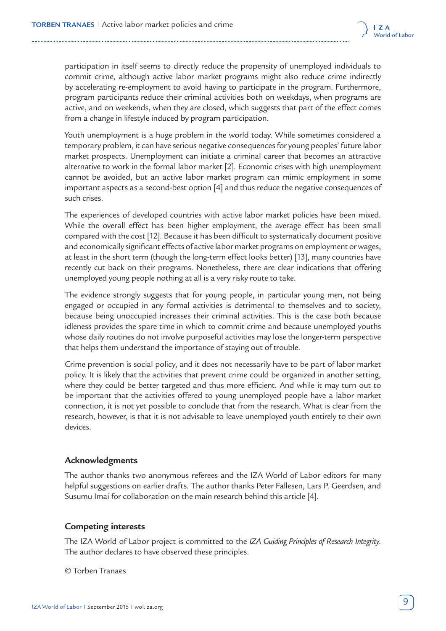

participation in itself seems to directly reduce the propensity of unemployed individuals to commit crime, although active labor market programs might also reduce crime indirectly by accelerating re-employment to avoid having to participate in the program. Furthermore, program participants reduce their criminal activities both on weekdays, when programs are active, and on weekends, when they are closed, which suggests that part of the effect comes from a change in lifestyle induced by program participation.

Youth unemployment is a huge problem in the world today. While sometimes considered a temporary problem, it can have serious negative consequences for young peoples' future labor market prospects. Unemployment can initiate a criminal career that becomes an attractive alternative to work in the formal labor market [2]. Economic crises with high unemployment cannot be avoided, but an active labor market program can mimic employment in some important aspects as a second-best option [4] and thus reduce the negative consequences of such crises.

The experiences of developed countries with active labor market policies have been mixed. While the overall effect has been higher employment, the average effect has been small compared with the cost [12]. Because it has been difficult to systematically document positive and economically significant effects of active labor market programs on employment or wages, at least in the short term (though the long-term effect looks better) [13], many countries have recently cut back on their programs. Nonetheless, there are clear indications that offering unemployed young people nothing at all is a very risky route to take.

The evidence strongly suggests that for young people, in particular young men, not being engaged or occupied in any formal activities is detrimental to themselves and to society, because being unoccupied increases their criminal activities. This is the case both because idleness provides the spare time in which to commit crime and because unemployed youths whose daily routines do not involve purposeful activities may lose the longer-term perspective that helps them understand the importance of staying out of trouble.

Crime prevention is social policy, and it does not necessarily have to be part of labor market policy. It is likely that the activities that prevent crime could be organized in another setting, where they could be better targeted and thus more efficient. And while it may turn out to be important that the activities offered to young unemployed people have a labor market connection, it is not yet possible to conclude that from the research. What is clear from the research, however, is that it is not advisable to leave unemployed youth entirely to their own devices.

# **Acknowledgments**

The author thanks two anonymous referees and the IZA World of Labor editors for many helpful suggestions on earlier drafts. The author thanks Peter Fallesen, Lars P. Geerdsen, and Susumu Imai for collaboration on the main research behind this article [4].

# **Competing interests**

The IZA World of Labor project is committed to the *[IZA Guiding Principles of Research Integrity](http://www.iza.org/en/webcontent/about/IZAResearchIntegrity.pdf)*. The author declares to have observed these principles.

© Torben Tranaes